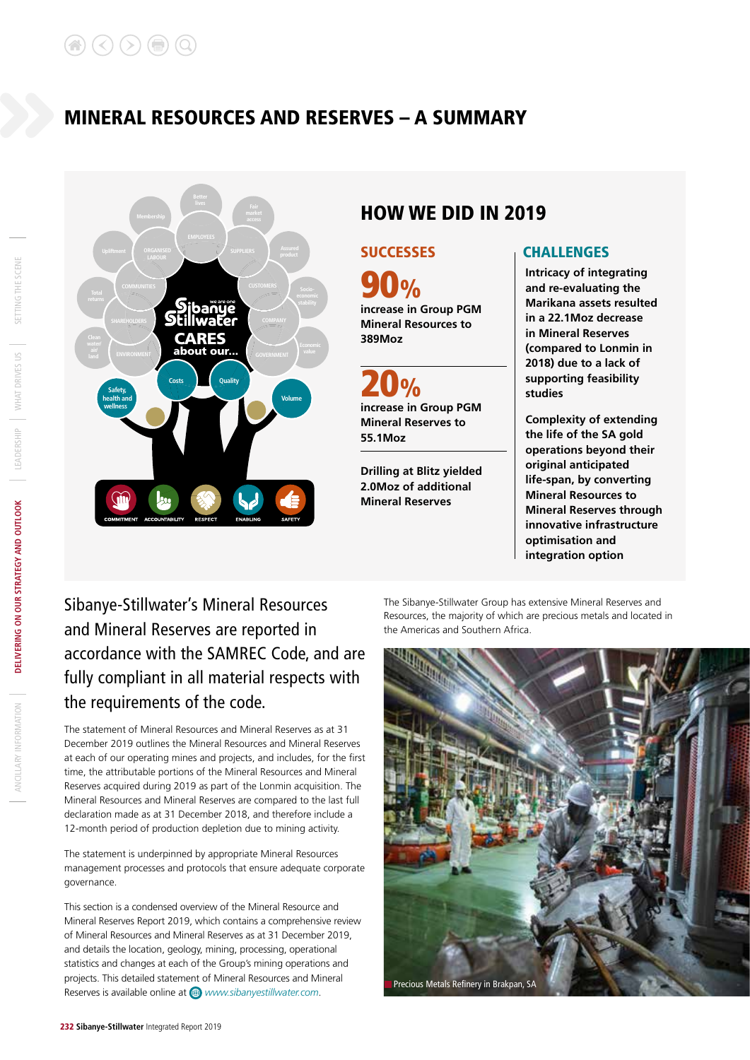# MINERAL RESOURCES AND RESERVES – A SUMMARY



# HOW WE DID IN 2019

**90%**<br>increase in Group PGM **Mineral Resources to 389Moz**

**increase in Group PGM Mineral Reserves to 55.1Moz**  $\mathbf{Q}_{\mathbf{0}}$ 

**Drilling at Blitz yielded 2.0Moz of additional Mineral Reserves**

# SUCCESSES CHALLENGES

**Intricacy of integrating and re-evaluating the Marikana assets resulted in a 22.1Moz decrease in Mineral Reserves (compared to Lonmin in 2018) due to a lack of supporting feasibility studies**

**Complexity of extending the life of the SA gold operations beyond their original anticipated life-span, by converting Mineral Resources to Mineral Reserves through innovative infrastructure optimisation and integration option**

# Sibanye-Stillwater's Mineral Resources and Mineral Reserves are reported in accordance with the SAMREC Code, and are fully compliant in all material respects with the requirements of the code.

The statement of Mineral Resources and Mineral Reserves as at 31 December 2019 outlines the Mineral Resources and Mineral Reserves at each of our operating mines and projects, and includes, for the first time, the attributable portions of the Mineral Resources and Mineral Reserves acquired during 2019 as part of the Lonmin acquisition. The Mineral Resources and Mineral Reserves are compared to the last full declaration made as at 31 December 2018, and therefore include a 12-month period of production depletion due to mining activity.

The statement is underpinned by appropriate Mineral Resources management processes and protocols that ensure adequate corporate governance.

This section is a condensed overview of the Mineral Resource and Mineral Reserves Report 2019, which contains a comprehensive review of Mineral Resources and Mineral Reserves as at 31 December 2019, and details the location, geology, mining, processing, operational statistics and changes at each of the Group's mining operations and projects. This detailed statement of Mineral Resources and Mineral Reserves is available online at *www.sibanyestillwater.com*.

The Sibanye-Stillwater Group has extensive Mineral Reserves and Resources, the majority of which are precious metals and located in the Americas and Southern Africa.

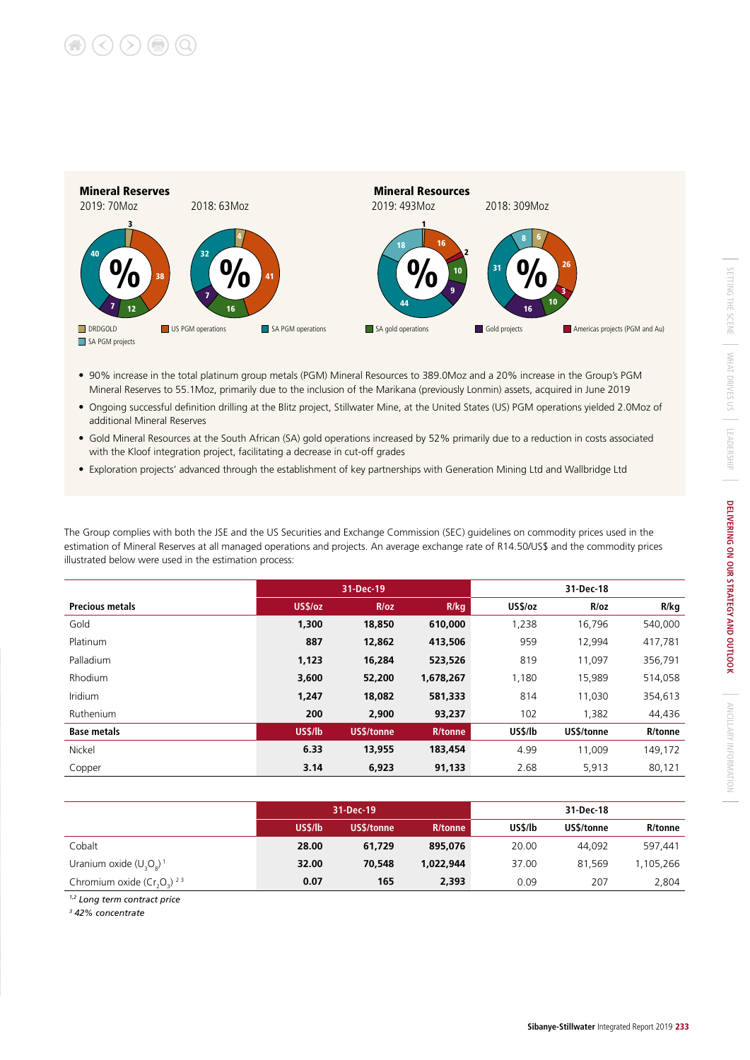

- 90% increase in the total platinum group metals (PGM) Mineral Resources to 389.0Moz and a 20% increase in the Group's PGM Mineral Reserves to 55.1Moz, primarily due to the inclusion of the Marikana (previously Lonmin) assets, acquired in June 2019
- Ongoing successful definition drilling at the Blitz project, Stillwater Mine, at the United States (US) PGM operations yielded 2.0Moz of additional Mineral Reserves
- Gold Mineral Resources at the South African (SA) gold operations increased by 52% primarily due to a reduction in costs associated with the Kloof integration project, facilitating a decrease in cut-off grades
- Exploration projects' advanced through the establishment of key partnerships with Generation Mining Ltd and Wallbridge Ltd

The Group complies with both the JSE and the US Securities and Exchange Commission (SEC) guidelines on commodity prices used in the estimation of Mineral Reserves at all managed operations and projects. An average exchange rate of R14.50/US\$ and the commodity prices illustrated below were used in the estimation process:

|                        |                | 31-Dec-19  |                | 31-Dec-18 |            |         |  |  |
|------------------------|----------------|------------|----------------|-----------|------------|---------|--|--|
| <b>Precious metals</b> | US\$/oz        | R/oz       | R/kg           | US\$/oz   | R/oz       | R/kg    |  |  |
| Gold                   | 1,300          | 18,850     | 610,000        | 1,238     | 16,796     | 540,000 |  |  |
| Platinum               | 887            | 12,862     | 413,506        | 959       | 12,994     | 417,781 |  |  |
| Palladium              | 1,123          | 16,284     | 523,526        | 819       | 11,097     | 356,791 |  |  |
| <b>Rhodium</b>         | 3,600          | 52,200     | 1,678,267      | 1,180     | 15,989     | 514,058 |  |  |
| <b>Iridium</b>         | 1,247          | 18,082     | 581,333        | 814       | 11,030     | 354,613 |  |  |
| Ruthenium              | 200            | 2,900      | 93,237         | 102       | 1,382      | 44,436  |  |  |
| <b>Base metals</b>     | <b>US\$/lb</b> | US\$/tonne | <b>R/tonne</b> | US\$/lb   | US\$/tonne | R/tonne |  |  |
| Nickel                 | 6.33           | 13,955     | 183,454        | 4.99      | 11,009     | 149,172 |  |  |
| Copper                 | 3.14           | 6,923      | 91,133         | 2.68      | 5,913      | 80,121  |  |  |

|                                        |         | 31-Dec-19  |           | 31-Dec-18 |            |           |  |  |  |
|----------------------------------------|---------|------------|-----------|-----------|------------|-----------|--|--|--|
|                                        | US\$/lb | US\$/tonne | R/tonne   | US\$/lb   | US\$/tonne | R/tonne   |  |  |  |
| Cobalt                                 | 28.00   | 61,729     | 895.076   | 20.00     | 44,092     | 597,441   |  |  |  |
| Uranium oxide $(U, O_s)^+$             | 32.00   | 70,548     | 1.022.944 | 37.00     | 81.569     | 1,105,266 |  |  |  |
| Chromium oxide $(Cr, Q)$ <sup>23</sup> | 0.07    | 165        | 2,393     | 0.09      | 207        | 2,804     |  |  |  |

*1,2 Long term contract price*

*3 42% concentrate*

ANCILLARY INFORMATION

ANCILLARY INFORMATION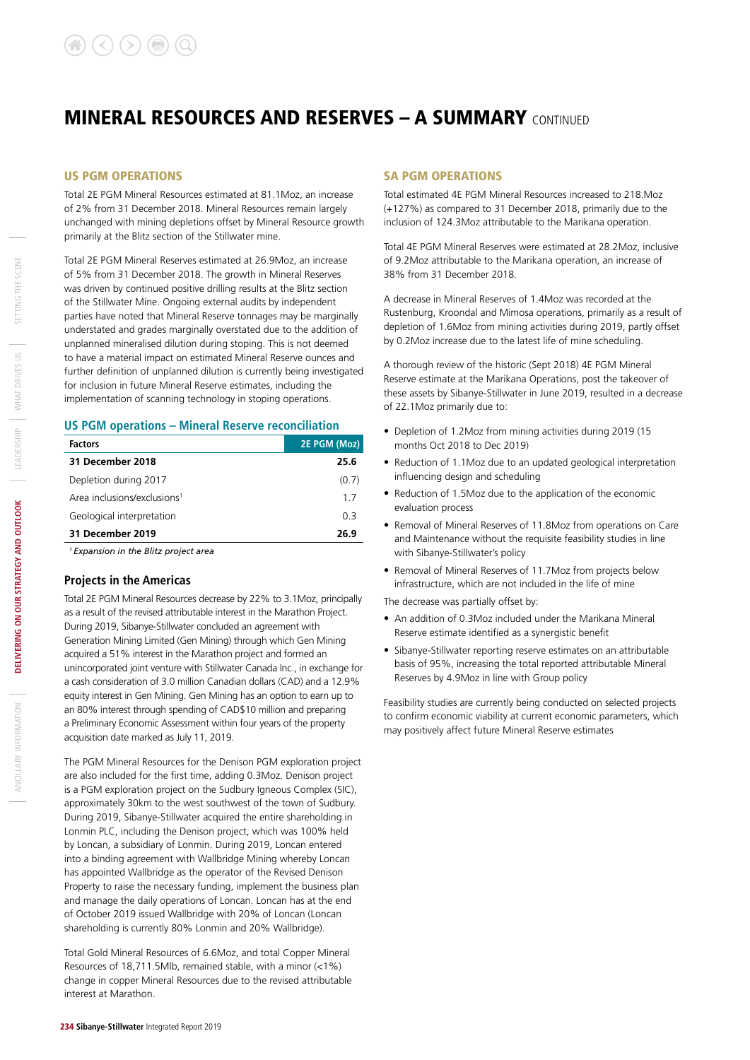#### US PGM OPERATIONS

Total 2E PGM Mineral Resources estimated at 81.1Moz, an increase of 2% from 31 December 2018. Mineral Resources remain largely unchanged with mining depletions offset by Mineral Resource growth primarily at the Blitz section of the Stillwater mine.

Total 2E PGM Mineral Reserves estimated at 26.9Moz, an increase of 5% from 31 December 2018. The growth in Mineral Reserves was driven by continued positive drilling results at the Blitz section of the Stillwater Mine. Ongoing external audits by independent parties have noted that Mineral Reserve tonnages may be marginally understated and grades marginally overstated due to the addition of unplanned mineralised dilution during stoping. This is not deemed to have a material impact on estimated Mineral Reserve ounces and further definition of unplanned dilution is currently being investigated for inclusion in future Mineral Reserve estimates, including the implementation of scanning technology in stoping operations.

#### **US PGM operations – Mineral Reserve reconciliation**

| <b>Factors</b>                          | 2E PGM (Moz) |
|-----------------------------------------|--------------|
| 31 December 2018                        | 25.6         |
| Depletion during 2017                   | (0.7)        |
| Area inclusions/exclusions <sup>1</sup> | 17           |
| Geological interpretation               | 0 3          |
| 31 December 2019                        | 26.9         |

*1 Expansion in the Blitz project area*

#### **Projects in the Americas**

Total 2E PGM Mineral Resources decrease by 22% to 3.1Moz, principally as a result of the revised attributable interest in the Marathon Project. During 2019, Sibanye-Stillwater concluded an agreement with Generation Mining Limited (Gen Mining) through which Gen Mining acquired a 51% interest in the Marathon project and formed an unincorporated joint venture with Stillwater Canada Inc., in exchange for a cash consideration of 3.0 million Canadian dollars (CAD) and a 12.9% equity interest in Gen Mining. Gen Mining has an option to earn up to an 80% interest through spending of CAD\$10 million and preparing a Preliminary Economic Assessment within four years of the property acquisition date marked as July 11, 2019.

The PGM Mineral Resources for the Denison PGM exploration project are also included for the first time, adding 0.3Moz. Denison project is a PGM exploration project on the Sudbury Igneous Complex (SIC), approximately 30km to the west southwest of the town of Sudbury. During 2019, Sibanye-Stillwater acquired the entire shareholding in Lonmin PLC, including the Denison project, which was 100% held by Loncan, a subsidiary of Lonmin. During 2019, Loncan entered into a binding agreement with Wallbridge Mining whereby Loncan has appointed Wallbridge as the operator of the Revised Denison Property to raise the necessary funding, implement the business plan and manage the daily operations of Loncan. Loncan has at the end of October 2019 issued Wallbridge with 20% of Loncan (Loncan shareholding is currently 80% Lonmin and 20% Wallbridge).

Total Gold Mineral Resources of 6.6Moz, and total Copper Mineral Resources of 18,711.5Mlb, remained stable, with a minor (<1%) change in copper Mineral Resources due to the revised attributable interest at Marathon.

#### SA PGM OPERATIONS

Total estimated 4E PGM Mineral Resources increased to 218.Moz (+127%) as compared to 31 December 2018, primarily due to the inclusion of 124.3Moz attributable to the Marikana operation.

Total 4E PGM Mineral Reserves were estimated at 28.2Moz, inclusive of 9.2Moz attributable to the Marikana operation, an increase of 38% from 31 December 2018.

A decrease in Mineral Reserves of 1.4Moz was recorded at the Rustenburg, Kroondal and Mimosa operations, primarily as a result of depletion of 1.6Moz from mining activities during 2019, partly offset by 0.2Moz increase due to the latest life of mine scheduling.

A thorough review of the historic (Sept 2018) 4E PGM Mineral Reserve estimate at the Marikana Operations, post the takeover of these assets by Sibanye-Stillwater in June 2019, resulted in a decrease of 22.1Moz primarily due to:

- Depletion of 1.2Moz from mining activities during 2019 (15 months Oct 2018 to Dec 2019)
- Reduction of 1.1Moz due to an updated geological interpretation influencing design and scheduling
- Reduction of 1.5Moz due to the application of the economic evaluation process
- Removal of Mineral Reserves of 11.8Moz from operations on Care and Maintenance without the requisite feasibility studies in line with Sibanye-Stillwater's policy
- Removal of Mineral Reserves of 11.7Moz from projects below infrastructure, which are not included in the life of mine

The decrease was partially offset by:

- An addition of 0.3Moz included under the Marikana Mineral Reserve estimate identified as a synergistic benefit
- Sibanye-Stillwater reporting reserve estimates on an attributable basis of 95%, increasing the total reported attributable Mineral Reserves by 4.9Moz in line with Group policy

Feasibility studies are currently being conducted on selected projects to confirm economic viability at current economic parameters, which may positively affect future Mineral Reserve estimates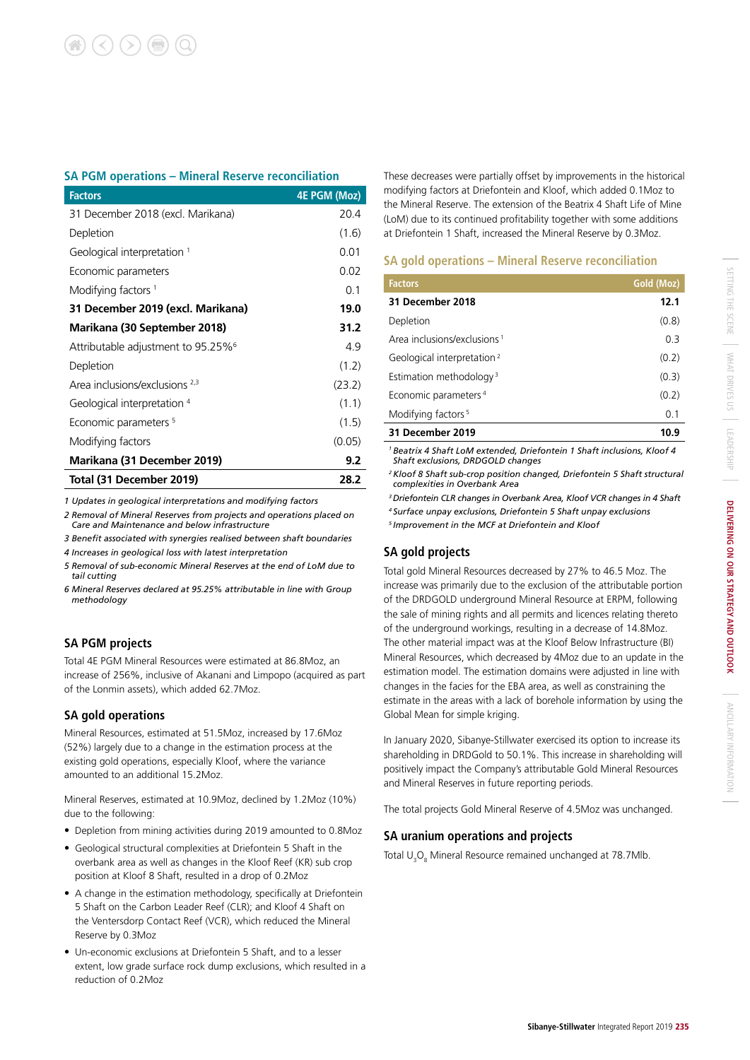### **SA PGM operations – Mineral Reserve reconciliation**

| <b>Factors</b>                                 | <b>4E PGM (Moz)</b> |
|------------------------------------------------|---------------------|
| 31 December 2018 (excl. Marikana)              | 20.4                |
| Depletion                                      | (1.6)               |
| Geological interpretation <sup>1</sup>         | 0.01                |
| Economic parameters                            | 0.02                |
| Modifying factors <sup>1</sup>                 | 0.1                 |
| 31 December 2019 (excl. Marikana)              | 19.0                |
| Marikana (30 September 2018)                   | 31.2                |
| Attributable adjustment to 95.25% <sup>6</sup> | 4.9                 |
| Depletion                                      | (1.2)               |
| Area inclusions/exclusions 2,3                 | (23.2)              |
| Geological interpretation 4                    | (1.1)               |
| Economic parameters <sup>5</sup>               | (1.5)               |
| Modifying factors                              | (0.05)              |
| Marikana (31 December 2019)                    | 9.2                 |
| Total (31 December 2019)                       | 28.2                |

*1 Updates in geological interpretations and modifying factors*

*2 Removal of Mineral Reserves from projects and operations placed on Care and Maintenance and below infrastructure*

*3 Benefit associated with synergies realised between shaft boundaries*

*4 Increases in geological loss with latest interpretation*

*5 Removal of sub-economic Mineral Reserves at the end of LoM due to tail cutting*

*6 Mineral Reserves declared at 95.25% attributable in line with Group methodology*

### **SA PGM projects**

Total 4E PGM Mineral Resources were estimated at 86.8Moz, an increase of 256%, inclusive of Akanani and Limpopo (acquired as part of the Lonmin assets), which added 62.7Moz.

### **SA gold operations**

Mineral Resources, estimated at 51.5Moz, increased by 17.6Moz (52%) largely due to a change in the estimation process at the existing gold operations, especially Kloof, where the variance amounted to an additional 15.2Moz.

Mineral Reserves, estimated at 10.9Moz, declined by 1.2Moz (10%) due to the following:

- Depletion from mining activities during 2019 amounted to 0.8Moz
- Geological structural complexities at Driefontein 5 Shaft in the overbank area as well as changes in the Kloof Reef (KR) sub crop position at Kloof 8 Shaft, resulted in a drop of 0.2Moz
- A change in the estimation methodology, specifically at Driefontein 5 Shaft on the Carbon Leader Reef (CLR); and Kloof 4 Shaft on the Ventersdorp Contact Reef (VCR), which reduced the Mineral Reserve by 0.3Moz
- Un-economic exclusions at Driefontein 5 Shaft, and to a lesser extent, low grade surface rock dump exclusions, which resulted in a reduction of 0.2Moz

These decreases were partially offset by improvements in the historical modifying factors at Driefontein and Kloof, which added 0.1Moz to the Mineral Reserve. The extension of the Beatrix 4 Shaft Life of Mine (LoM) due to its continued profitability together with some additions at Driefontein 1 Shaft, increased the Mineral Reserve by 0.3Moz.

### **SA gold operations – Mineral Reserve reconciliation**

| <b>Factors</b>                          | Gold (Moz) |
|-----------------------------------------|------------|
| 31 December 2018                        | 12.1       |
| Depletion                               | (0.8)      |
| Area inclusions/exclusions <sup>1</sup> | 03         |
| Geological interpretation <sup>2</sup>  | (0.2)      |
| Estimation methodology <sup>3</sup>     | (0.3)      |
| Economic parameters <sup>4</sup>        | (0.2)      |
| Modifying factors <sup>5</sup>          | 0.1        |
| 31 December 2019                        | 10.9       |
|                                         |            |

*1 Beatrix 4 Shaft LoM extended, Driefontein 1 Shaft inclusions, Kloof 4 Shaft exclusions, DRDGOLD changes*

*2 Kloof 8 Shaft sub-crop position changed, Driefontein 5 Shaft structural complexities in Overbank Area*

*3 Driefontein CLR changes in Overbank Area, Kloof VCR changes in 4 Shaft 4 Surface unpay exclusions, Driefontein 5 Shaft unpay exclusions 5 Improvement in the MCF at Driefontein and Kloof*

# **SA gold projects**

Total gold Mineral Resources decreased by 27% to 46.5 Moz. The increase was primarily due to the exclusion of the attributable portion of the DRDGOLD underground Mineral Resource at ERPM, following the sale of mining rights and all permits and licences relating thereto of the underground workings, resulting in a decrease of 14.8Moz. The other material impact was at the Kloof Below Infrastructure (BI) Mineral Resources, which decreased by 4Moz due to an update in the estimation model. The estimation domains were adjusted in line with changes in the facies for the EBA area, as well as constraining the estimate in the areas with a lack of borehole information by using the Global Mean for simple kriging.

In January 2020, Sibanye-Stillwater exercised its option to increase its shareholding in DRDGold to 50.1%. This increase in shareholding will positively impact the Company's attributable Gold Mineral Resources and Mineral Reserves in future reporting periods.

The total projects Gold Mineral Reserve of 4.5Moz was unchanged.

### **SA uranium operations and projects**

Total  $\cup_{\alpha}$ O<sub>8</sub> Mineral Resource remained unchanged at 78.7Mlb.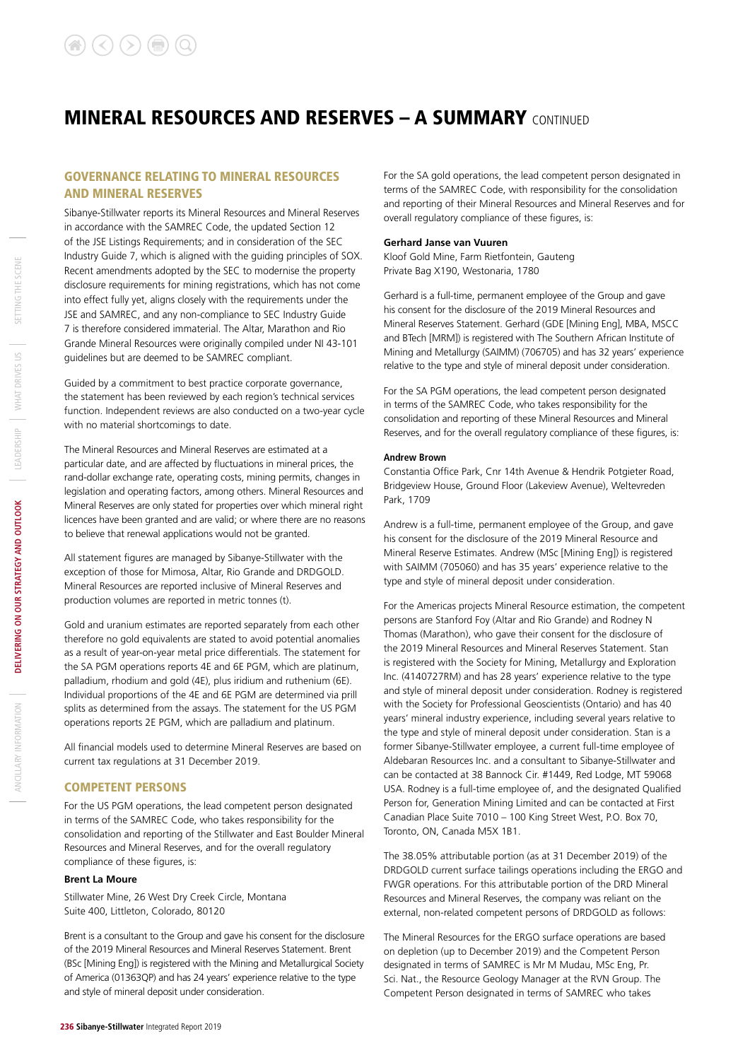### GOVERNANCE RELATING TO MINERAL RESOURCES AND MINERAL RESERVES

Sibanye-Stillwater reports its Mineral Resources and Mineral Reserves in accordance with the SAMREC Code, the updated Section 12 of the JSE Listings Requirements; and in consideration of the SEC Industry Guide 7, which is aligned with the guiding principles of SOX. Recent amendments adopted by the SEC to modernise the property disclosure requirements for mining registrations, which has not come into effect fully yet, aligns closely with the requirements under the JSE and SAMREC, and any non-compliance to SEC Industry Guide 7 is therefore considered immaterial. The Altar, Marathon and Rio Grande Mineral Resources were originally compiled under NI 43-101 guidelines but are deemed to be SAMREC compliant.

Guided by a commitment to best practice corporate governance, the statement has been reviewed by each region's technical services function. Independent reviews are also conducted on a two-year cycle with no material shortcomings to date.

The Mineral Resources and Mineral Reserves are estimated at a particular date, and are affected by fluctuations in mineral prices, the rand-dollar exchange rate, operating costs, mining permits, changes in legislation and operating factors, among others. Mineral Resources and Mineral Reserves are only stated for properties over which mineral right licences have been granted and are valid; or where there are no reasons to believe that renewal applications would not be granted.

All statement figures are managed by Sibanye-Stillwater with the exception of those for Mimosa, Altar, Rio Grande and DRDGOLD. Mineral Resources are reported inclusive of Mineral Reserves and production volumes are reported in metric tonnes (t).

Gold and uranium estimates are reported separately from each other therefore no gold equivalents are stated to avoid potential anomalies as a result of year-on-year metal price differentials. The statement for the SA PGM operations reports 4E and 6E PGM, which are platinum, palladium, rhodium and gold (4E), plus iridium and ruthenium (6E). Individual proportions of the 4E and 6E PGM are determined via prill splits as determined from the assays. The statement for the US PGM operations reports 2E PGM, which are palladium and platinum.

All financial models used to determine Mineral Reserves are based on current tax regulations at 31 December 2019.

#### COMPETENT PERSONS

For the US PGM operations, the lead competent person designated in terms of the SAMREC Code, who takes responsibility for the consolidation and reporting of the Stillwater and East Boulder Mineral Resources and Mineral Reserves, and for the overall regulatory compliance of these figures, is:

#### **Brent La Moure**

Stillwater Mine, 26 West Dry Creek Circle, Montana Suite 400, Littleton, Colorado, 80120

Brent is a consultant to the Group and gave his consent for the disclosure of the 2019 Mineral Resources and Mineral Reserves Statement. Brent (BSc [Mining Eng]) is registered with the Mining and Metallurgical Society of America (01363QP) and has 24 years' experience relative to the type and style of mineral deposit under consideration.

For the SA gold operations, the lead competent person designated in terms of the SAMREC Code, with responsibility for the consolidation and reporting of their Mineral Resources and Mineral Reserves and for overall regulatory compliance of these figures, is:

#### **Gerhard Janse van Vuuren**

Kloof Gold Mine, Farm Rietfontein, Gauteng Private Bag X190, Westonaria, 1780

Gerhard is a full-time, permanent employee of the Group and gave his consent for the disclosure of the 2019 Mineral Resources and Mineral Reserves Statement. Gerhard (GDE [Mining Eng], MBA, MSCC and BTech [MRM]) is registered with The Southern African Institute of Mining and Metallurgy (SAIMM) (706705) and has 32 years' experience relative to the type and style of mineral deposit under consideration.

For the SA PGM operations, the lead competent person designated in terms of the SAMREC Code, who takes responsibility for the consolidation and reporting of these Mineral Resources and Mineral Reserves, and for the overall regulatory compliance of these figures, is:

#### **Andrew Brown**

Constantia Office Park, Cnr 14th Avenue & Hendrik Potgieter Road, Bridgeview House, Ground Floor (Lakeview Avenue), Weltevreden Park, 1709

Andrew is a full-time, permanent employee of the Group, and gave his consent for the disclosure of the 2019 Mineral Resource and Mineral Reserve Estimates. Andrew (MSc [Mining Eng]) is registered with SAIMM (705060) and has 35 years' experience relative to the type and style of mineral deposit under consideration.

For the Americas projects Mineral Resource estimation, the competent persons are Stanford Foy (Altar and Rio Grande) and Rodney N Thomas (Marathon), who gave their consent for the disclosure of the 2019 Mineral Resources and Mineral Reserves Statement. Stan is registered with the Society for Mining, Metallurgy and Exploration Inc. (4140727RM) and has 28 years' experience relative to the type and style of mineral deposit under consideration. Rodney is registered with the Society for Professional Geoscientists (Ontario) and has 40 years' mineral industry experience, including several years relative to the type and style of mineral deposit under consideration. Stan is a former Sibanye-Stillwater employee, a current full-time employee of Aldebaran Resources Inc. and a consultant to Sibanye-Stillwater and can be contacted at 38 Bannock Cir. #1449, Red Lodge, MT 59068 USA. Rodney is a full-time employee of, and the designated Qualified Person for, Generation Mining Limited and can be contacted at First Canadian Place Suite 7010 – 100 King Street West, P.O. Box 70, Toronto, ON, Canada M5X 1B1.

The 38.05% attributable portion (as at 31 December 2019) of the DRDGOLD current surface tailings operations including the ERGO and FWGR operations. For this attributable portion of the DRD Mineral Resources and Mineral Reserves, the company was reliant on the external, non-related competent persons of DRDGOLD as follows:

The Mineral Resources for the ERGO surface operations are based on depletion (up to December 2019) and the Competent Person designated in terms of SAMREC is Mr M Mudau, MSc Eng, Pr. Sci. Nat., the Resource Geology Manager at the RVN Group. The Competent Person designated in terms of SAMREC who takes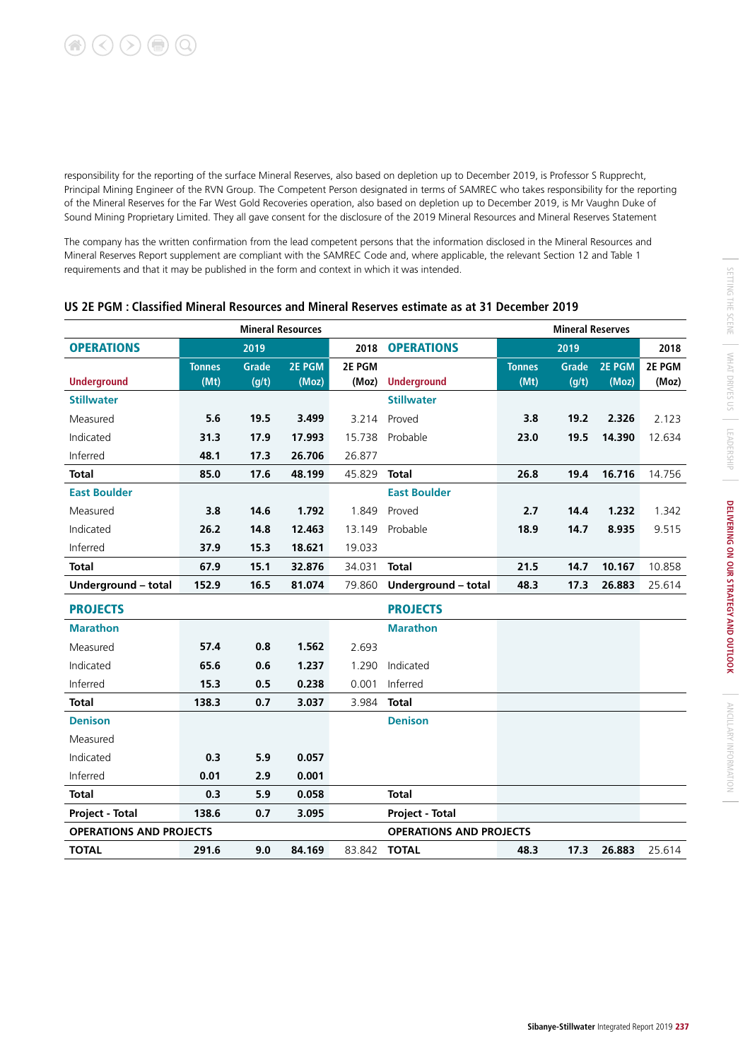responsibility for the reporting of the surface Mineral Reserves, also based on depletion up to December 2019, is Professor S Rupprecht, Principal Mining Engineer of the RVN Group. The Competent Person designated in terms of SAMREC who takes responsibility for the reporting of the Mineral Reserves for the Far West Gold Recoveries operation, also based on depletion up to December 2019, is Mr Vaughn Duke of Sound Mining Proprietary Limited. They all gave consent for the disclosure of the 2019 Mineral Resources and Mineral Reserves Statement

The company has the written confirmation from the lead competent persons that the information disclosed in the Mineral Resources and Mineral Reserves Report supplement are compliant with the SAMREC Code and, where applicable, the relevant Section 12 and Table 1 requirements and that it may be published in the form and context in which it was intended.

|                                |               |              | <b>Mineral Resources</b> |        |                                |               | <b>Mineral Reserves</b> |        |        |
|--------------------------------|---------------|--------------|--------------------------|--------|--------------------------------|---------------|-------------------------|--------|--------|
| <b>OPERATIONS</b>              |               | 2019         |                          | 2018   | <b>OPERATIONS</b>              |               | 2019                    |        | 2018   |
|                                | <b>Tonnes</b> | <b>Grade</b> | 2E PGM                   | 2E PGM |                                | <b>Tonnes</b> | Grade                   | 2E PGM | 2E PGM |
| <b>Underground</b>             | (Mt)          | (g/t)        | (Moz)                    | (Moz)  | <b>Underground</b>             | (Mt)          | (g/t)                   | (Moz)  | (Moz)  |
| <b>Stillwater</b>              |               |              |                          |        | <b>Stillwater</b>              |               |                         |        |        |
| Measured                       | 5.6           | 19.5         | 3.499                    | 3.214  | Proved                         | 3.8           | 19.2                    | 2.326  | 2.123  |
| Indicated                      | 31.3          | 17.9         | 17.993                   | 15.738 | Probable                       | 23.0          | 19.5                    | 14.390 | 12.634 |
| Inferred                       | 48.1          | 17.3         | 26.706                   | 26.877 |                                |               |                         |        |        |
| <b>Total</b>                   | 85.0          | 17.6         | 48.199                   | 45.829 | <b>Total</b>                   | 26.8          | 19.4                    | 16.716 | 14.756 |
| <b>East Boulder</b>            |               |              |                          |        | <b>East Boulder</b>            |               |                         |        |        |
| Measured                       | 3.8           | 14.6         | 1.792                    | 1.849  | Proved                         | 2.7           | 14.4                    | 1.232  | 1.342  |
| Indicated                      | 26.2          | 14.8         | 12.463                   | 13.149 | Probable                       | 18.9          | 14.7                    | 8.935  | 9.515  |
| Inferred                       | 37.9          | 15.3         | 18.621                   | 19.033 |                                |               |                         |        |        |
| <b>Total</b>                   | 67.9          | 15.1         | 32.876                   | 34.031 | <b>Total</b>                   | 21.5          | 14.7                    | 10.167 | 10.858 |
| Underground - total            | 152.9         | 16.5         | 81.074                   | 79.860 | Underground - total            | 48.3          | 17.3                    | 26.883 | 25.614 |
| <b>PROJECTS</b>                |               |              |                          |        | <b>PROJECTS</b>                |               |                         |        |        |
| <b>Marathon</b>                |               |              |                          |        | <b>Marathon</b>                |               |                         |        |        |
| Measured                       | 57.4          | 0.8          | 1.562                    | 2.693  |                                |               |                         |        |        |
| Indicated                      | 65.6          | 0.6          | 1.237                    | 1.290  | Indicated                      |               |                         |        |        |
| Inferred                       | 15.3          | 0.5          | 0.238                    | 0.001  | Inferred                       |               |                         |        |        |
| <b>Total</b>                   | 138.3         | 0.7          | 3.037                    | 3.984  | <b>Total</b>                   |               |                         |        |        |
| <b>Denison</b>                 |               |              |                          |        | <b>Denison</b>                 |               |                         |        |        |
| Measured                       |               |              |                          |        |                                |               |                         |        |        |
| Indicated                      | 0.3           | 5.9          | 0.057                    |        |                                |               |                         |        |        |
| Inferred                       | 0.01          | 2.9          | 0.001                    |        |                                |               |                         |        |        |
| <b>Total</b>                   | 0.3           | 5.9          | 0.058                    |        | <b>Total</b>                   |               |                         |        |        |
| <b>Project - Total</b>         | 138.6         | 0.7          | 3.095                    |        | <b>Project - Total</b>         |               |                         |        |        |
| <b>OPERATIONS AND PROJECTS</b> |               |              |                          |        | <b>OPERATIONS AND PROJECTS</b> |               |                         |        |        |
| <b>TOTAL</b>                   | 291.6         | 9.0          | 84.169                   | 83.842 | <b>TOTAL</b>                   | 48.3          | 17.3                    | 26.883 | 25.614 |
|                                |               |              |                          |        |                                |               |                         |        |        |

### **US 2E PGM : Classified Mineral Resources and Mineral Reserves estimate as at 31 December 2019**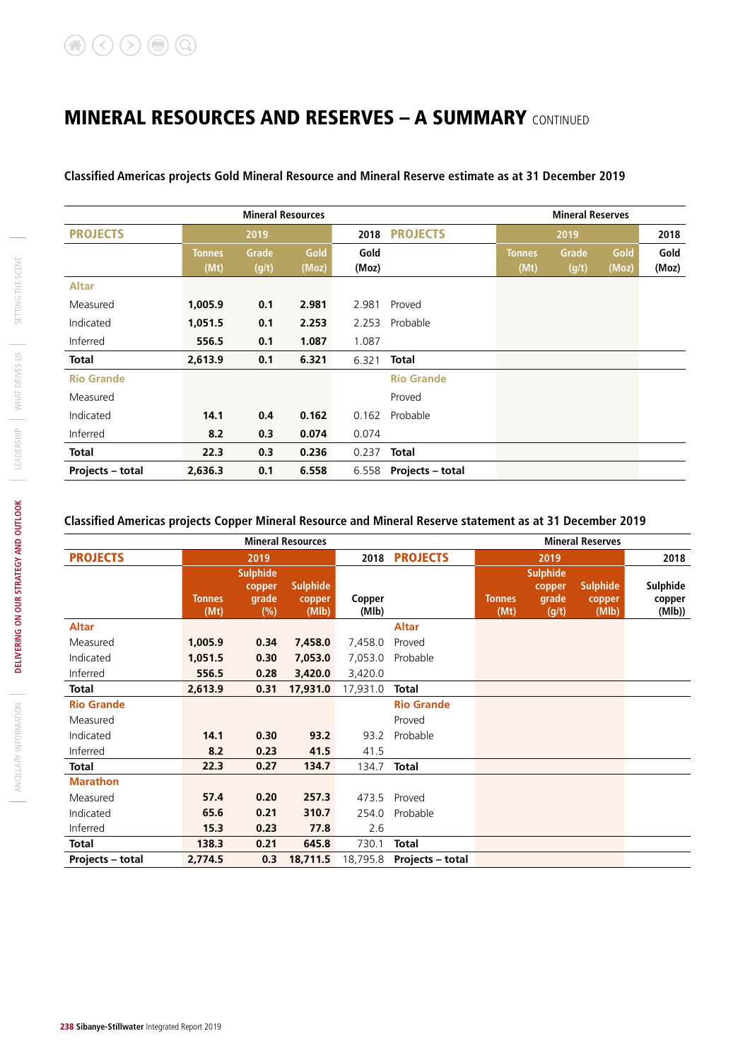**Classified Americas projects Gold Mineral Resource and Mineral Reserve estimate as at 31 December 2019**

|                   |               | <b>Mineral Resources</b> |       |       |                         | <b>Mineral Reserves</b> |       |       |       |
|-------------------|---------------|--------------------------|-------|-------|-------------------------|-------------------------|-------|-------|-------|
| <b>PROJECTS</b>   |               | 2019                     |       | 2018  | <b>PROJECTS</b>         |                         | 2019  |       | 2018  |
|                   | <b>Tonnes</b> | Grade                    | Gold  | Gold  |                         | <b>Tonnes</b>           | Grade | Gold  | Gold  |
|                   | (Mt)          | (g/t)                    | (Moz) | (Moz) |                         | (Mt)                    | (g/t) | (Moz) | (Moz) |
| <b>Altar</b>      |               |                          |       |       |                         |                         |       |       |       |
| Measured          | 1,005.9       | 0.1                      | 2.981 | 2.981 | Proved                  |                         |       |       |       |
| Indicated         | 1,051.5       | 0.1                      | 2.253 | 2.253 | Probable                |                         |       |       |       |
| Inferred          | 556.5         | 0.1                      | 1.087 | 1.087 |                         |                         |       |       |       |
| <b>Total</b>      | 2,613.9       | 0.1                      | 6.321 | 6.321 | <b>Total</b>            |                         |       |       |       |
| <b>Rio Grande</b> |               |                          |       |       | <b>Rio Grande</b>       |                         |       |       |       |
| Measured          |               |                          |       |       | Proved                  |                         |       |       |       |
| Indicated         | 14.1          | 0.4                      | 0.162 | 0.162 | Probable                |                         |       |       |       |
| Inferred          | 8.2           | 0.3                      | 0.074 | 0.074 |                         |                         |       |       |       |
| <b>Total</b>      | 22.3          | 0.3                      | 0.236 | 0.237 | <b>Total</b>            |                         |       |       |       |
| Projects - total  | 2,636.3       | 0.1                      | 6.558 | 6.558 | <b>Projects - total</b> |                         |       |       |       |

### **Classified Americas projects Copper Mineral Resource and Mineral Reserve statement as at 31 December 2019**

|                         |                       |                 | <b>Mineral Resources</b> |                 |                           |                       |                | <b>Mineral Reserves</b> |                  |
|-------------------------|-----------------------|-----------------|--------------------------|-----------------|---------------------------|-----------------------|----------------|-------------------------|------------------|
| <b>PROJECTS</b>         |                       | 2019            |                          | 2018            | <b>PROJECTS</b>           |                       | 2019           |                         | 2018             |
|                         |                       | <b>Sulphide</b> |                          |                 |                           | <b>Sulphide</b>       |                |                         |                  |
|                         |                       | copper          | <b>Sulphide</b>          |                 |                           |                       | copper         | <b>Sulphide</b>         | Sulphide         |
|                         | <b>Tonnes</b><br>(Mt) | grade<br>(%)    | copper<br>(MIb)          | Copper<br>(Mlb) |                           | <b>Tonnes</b><br>(Mt) | grade<br>(g/t) | copper<br>(Mlb)         | copper<br>(Mlb)) |
| <b>Altar</b>            |                       |                 |                          |                 | <b>Altar</b>              |                       |                |                         |                  |
| Measured                | 1,005.9               | 0.34            | 7,458.0                  | 7,458.0         | Proved                    |                       |                |                         |                  |
| Indicated               | 1,051.5               | 0.30            | 7,053.0                  | 7,053.0         | Probable                  |                       |                |                         |                  |
| Inferred                | 556.5                 | 0.28            | 3,420.0                  | 3,420.0         |                           |                       |                |                         |                  |
| <b>Total</b>            | 2,613.9               | 0.31            | 17,931.0                 | 17,931.0        | <b>Total</b>              |                       |                |                         |                  |
| <b>Rio Grande</b>       |                       |                 |                          |                 | <b>Rio Grande</b>         |                       |                |                         |                  |
| Measured                |                       |                 |                          |                 | Proved                    |                       |                |                         |                  |
| Indicated               | 14.1                  | 0.30            | 93.2                     | 93.2            | Probable                  |                       |                |                         |                  |
| Inferred                | 8.2                   | 0.23            | 41.5                     | 41.5            |                           |                       |                |                         |                  |
| <b>Total</b>            | 22.3                  | 0.27            | 134.7                    | 134.7           | <b>Total</b>              |                       |                |                         |                  |
| <b>Marathon</b>         |                       |                 |                          |                 |                           |                       |                |                         |                  |
| Measured                | 57.4                  | 0.20            | 257.3                    | 473.5           | Proved                    |                       |                |                         |                  |
| Indicated               | 65.6                  | 0.21            | 310.7                    | 254.0           | Probable                  |                       |                |                         |                  |
| Inferred                | 15.3                  | 0.23            | 77.8                     | 2.6             |                           |                       |                |                         |                  |
| <b>Total</b>            | 138.3                 | 0.21            | 645.8                    | 730.1           | <b>Total</b>              |                       |                |                         |                  |
| <b>Projects - total</b> | 2,774.5               | 0.3             | 18,711.5                 |                 | 18,795.8 Projects - total |                       |                |                         |                  |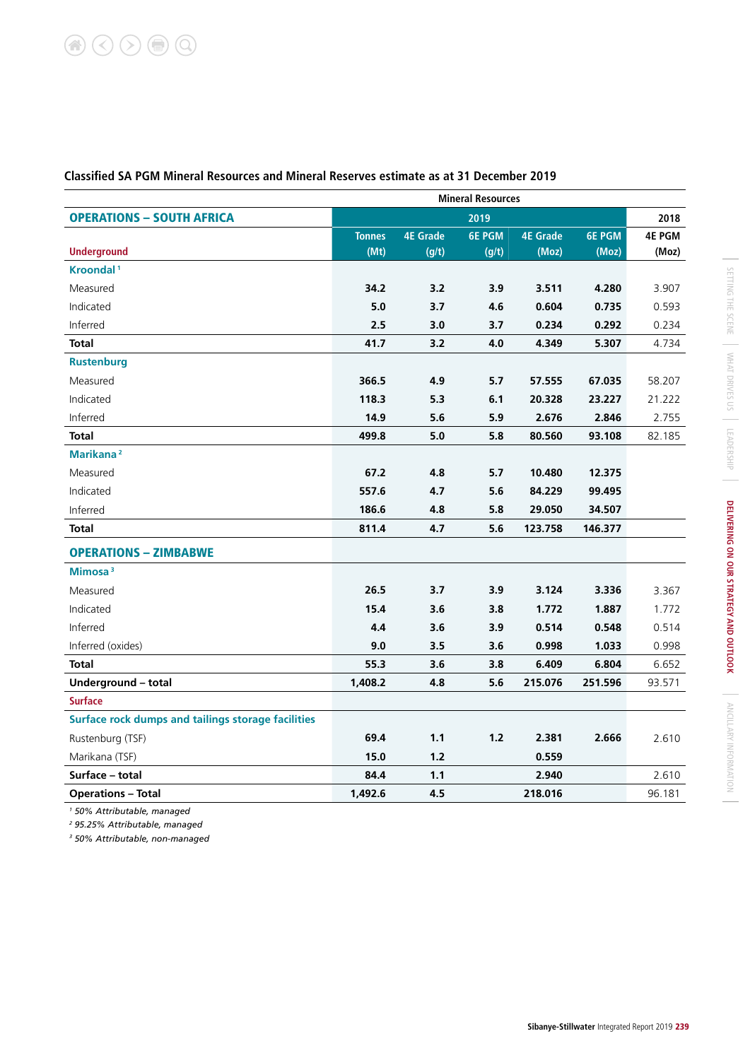|                                                    | <b>Mineral Resources</b> |                 |               |                 |               |               |  |  |  |
|----------------------------------------------------|--------------------------|-----------------|---------------|-----------------|---------------|---------------|--|--|--|
| <b>OPERATIONS - SOUTH AFRICA</b>                   |                          |                 | 2019          |                 |               | 2018          |  |  |  |
|                                                    | <b>Tonnes</b>            | <b>4E Grade</b> | <b>6E PGM</b> | <b>4E Grade</b> | <b>6E PGM</b> | <b>4E PGM</b> |  |  |  |
| <b>Underground</b>                                 | (Mt)                     | (g/t)           | (g/t)         | (Moz)           | (Moz)         | (Moz)         |  |  |  |
| Kroondal <sup>1</sup>                              |                          |                 |               |                 |               |               |  |  |  |
| Measured                                           | 34.2                     | 3.2             | 3.9           | 3.511           | 4.280         | 3.907         |  |  |  |
| Indicated                                          | 5.0                      | 3.7             | 4.6           | 0.604           | 0.735         | 0.593         |  |  |  |
| Inferred                                           | 2.5                      | 3.0             | 3.7           | 0.234           | 0.292         | 0.234         |  |  |  |
| <b>Total</b>                                       | 41.7                     | 3.2             | 4.0           | 4.349           | 5.307         | 4.734         |  |  |  |
| <b>Rustenburg</b>                                  |                          |                 |               |                 |               |               |  |  |  |
| Measured                                           | 366.5                    | 4.9             | 5.7           | 57.555          | 67.035        | 58.207        |  |  |  |
| Indicated                                          | 118.3                    | 5.3             | 6.1           | 20.328          | 23.227        | 21.222        |  |  |  |
| Inferred                                           | 14.9                     | 5.6             | 5.9           | 2.676           | 2.846         | 2.755         |  |  |  |
| <b>Total</b>                                       | 499.8                    | 5.0             | 5.8           | 80.560          | 93.108        | 82.185        |  |  |  |
| Marikana <sup>2</sup>                              |                          |                 |               |                 |               |               |  |  |  |
| Measured                                           | 67.2                     | 4.8             | 5.7           | 10.480          | 12.375        |               |  |  |  |
| Indicated                                          | 557.6                    | 4.7             | 5.6           | 84.229          | 99.495        |               |  |  |  |
| Inferred                                           | 186.6                    | 4.8             | 5.8           | 29.050          | 34.507        |               |  |  |  |
| <b>Total</b>                                       | 811.4                    | 4.7             | 5.6           | 123.758         | 146.377       |               |  |  |  |
| <b>OPERATIONS - ZIMBABWE</b>                       |                          |                 |               |                 |               |               |  |  |  |
| Mimosa <sup>3</sup>                                |                          |                 |               |                 |               |               |  |  |  |
| Measured                                           | 26.5                     | 3.7             | 3.9           | 3.124           | 3.336         | 3.367         |  |  |  |
| Indicated                                          | 15.4                     | 3.6             | 3.8           | 1.772           | 1.887         | 1.772         |  |  |  |
| Inferred                                           | 4.4                      | 3.6             | 3.9           | 0.514           | 0.548         | 0.514         |  |  |  |
| Inferred (oxides)                                  | 9.0                      | 3.5             | 3.6           | 0.998           | 1.033         | 0.998         |  |  |  |
| <b>Total</b>                                       | 55.3                     | 3.6             | 3.8           | 6.409           | 6.804         | 6.652         |  |  |  |
| Underground - total                                | 1,408.2                  | 4.8             | 5.6           | 215.076         | 251.596       | 93.571        |  |  |  |
| <b>Surface</b>                                     |                          |                 |               |                 |               |               |  |  |  |
| Surface rock dumps and tailings storage facilities |                          |                 |               |                 |               |               |  |  |  |
| Rustenburg (TSF)                                   | 69.4                     | 1.1             | 1.2           | 2.381           | 2.666         | 2.610         |  |  |  |
| Marikana (TSF)                                     | 15.0                     | 1.2             |               | 0.559           |               |               |  |  |  |
| Surface - total                                    | 84.4                     | 1.1             |               | 2.940           |               | 2.610         |  |  |  |
| <b>Operations - Total</b>                          | 1,492.6                  | 4.5             |               | 218.016         |               | 96.181        |  |  |  |

# **Classified SA PGM Mineral Resources and Mineral Reserves estimate as at 31 December 2019**

*1 50% Attributable, managed*

*2 95.25% Attributable, managed*

*3 50% Attributable, non-managed*

 $\mathcal{L}$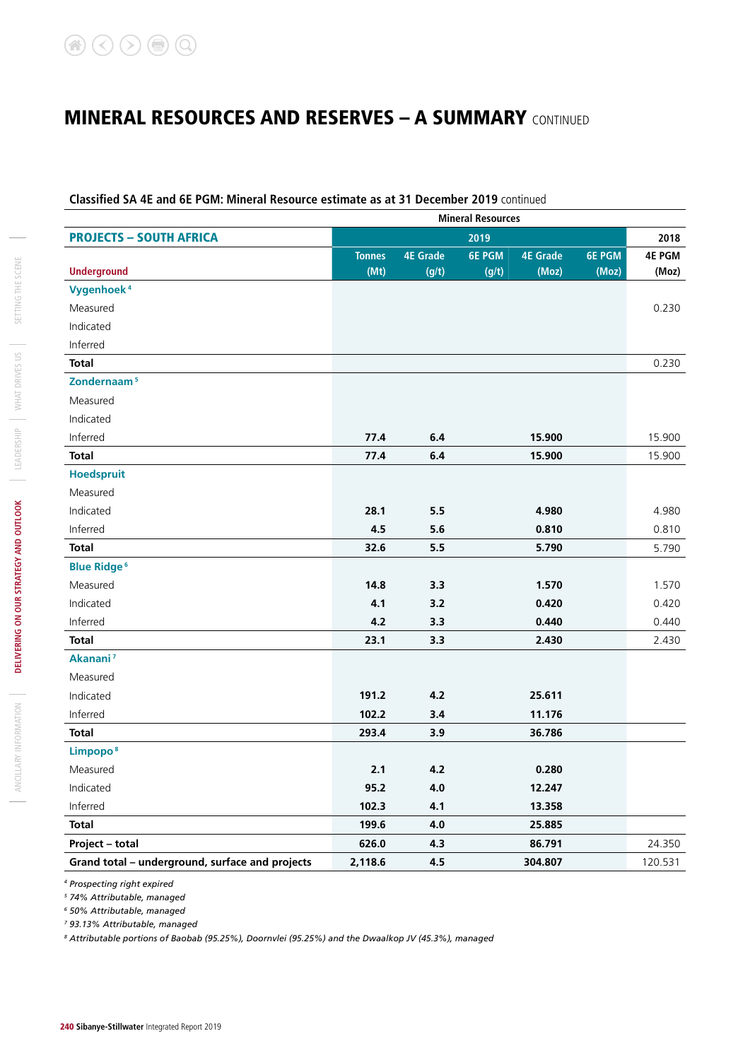### **Classified SA 4E and 6E PGM: Mineral Resource estimate as at 31 December 2019** continued

|                                                 | <b>Mineral Resources</b> |                 |               |                 |               |               |  |  |
|-------------------------------------------------|--------------------------|-----------------|---------------|-----------------|---------------|---------------|--|--|
| <b>PROJECTS - SOUTH AFRICA</b>                  |                          |                 | 2019          |                 |               | 2018          |  |  |
|                                                 | <b>Tonnes</b>            | <b>4E Grade</b> | <b>6E PGM</b> | <b>4E Grade</b> | <b>6E PGM</b> | <b>4E PGM</b> |  |  |
| <b>Underground</b>                              | (Mt)                     | (g/t)           | (g/t)         | (Moz)           | (Moz)         | (Moz)         |  |  |
| Vygenhoek <sup>4</sup>                          |                          |                 |               |                 |               |               |  |  |
| Measured                                        |                          |                 |               |                 |               | 0.230         |  |  |
| Indicated                                       |                          |                 |               |                 |               |               |  |  |
| Inferred                                        |                          |                 |               |                 |               |               |  |  |
| <b>Total</b>                                    |                          |                 |               |                 |               | 0.230         |  |  |
| Zondernaam <sup>5</sup>                         |                          |                 |               |                 |               |               |  |  |
| Measured                                        |                          |                 |               |                 |               |               |  |  |
| Indicated                                       |                          |                 |               |                 |               |               |  |  |
| Inferred                                        | 77.4                     | $6.4$           |               | 15.900          |               | 15.900        |  |  |
| <b>Total</b>                                    | 77.4                     | 6.4             |               | 15.900          |               | 15.900        |  |  |
| Hoedspruit                                      |                          |                 |               |                 |               |               |  |  |
| Measured                                        |                          |                 |               |                 |               |               |  |  |
| Indicated                                       | 28.1                     | 5.5             |               | 4.980           |               | 4.980         |  |  |
| Inferred                                        | 4.5                      | 5.6             |               | 0.810           |               | 0.810         |  |  |
| <b>Total</b>                                    | 32.6                     | 5.5             |               | 5.790           |               | 5.790         |  |  |
| <b>Blue Ridge<sup>6</sup></b>                   |                          |                 |               |                 |               |               |  |  |
| Measured                                        | 14.8                     | 3.3             |               | 1.570           |               | 1.570         |  |  |
| Indicated                                       | 4.1                      | 3.2             |               | 0.420           |               | 0.420         |  |  |
| Inferred                                        | 4.2                      | 3.3             |               | 0.440           |               | 0.440         |  |  |
| <b>Total</b>                                    | 23.1                     | 3.3             |               | 2.430           |               | 2.430         |  |  |
| Akanani <sup>7</sup>                            |                          |                 |               |                 |               |               |  |  |
| Measured                                        |                          |                 |               |                 |               |               |  |  |
| Indicated                                       | 191.2                    | 4.2             |               | 25.611          |               |               |  |  |
| Inferred                                        | 102.2                    | 3.4             |               | 11.176          |               |               |  |  |
| <b>Total</b>                                    | 293.4                    | 3.9             |               | 36.786          |               |               |  |  |
| Limpopo <sup>8</sup>                            |                          |                 |               |                 |               |               |  |  |
| Measured                                        | 2.1                      | 4.2             |               | 0.280           |               |               |  |  |
| Indicated                                       | 95.2                     | $4.0\,$         |               | 12.247          |               |               |  |  |
| Inferred                                        | 102.3                    | 4.1             |               | 13.358          |               |               |  |  |
| <b>Total</b>                                    | 199.6                    | $4.0\,$         |               | 25.885          |               |               |  |  |
| Project - total                                 | 626.0                    | 4.3             |               | 86.791          |               | 24.350        |  |  |
| Grand total - underground, surface and projects | 2,118.6                  | 4.5             |               | 304.807         |               | 120.531       |  |  |

*4 Prospecting right expired*

*5 74% Attributable, managed*

*6 50% Attributable, managed*

*7 93.13% Attributable, managed*

*8 Attributable portions of Baobab (95.25%), Doornvlei (95.25%) and the Dwaalkop JV (45.3%), managed*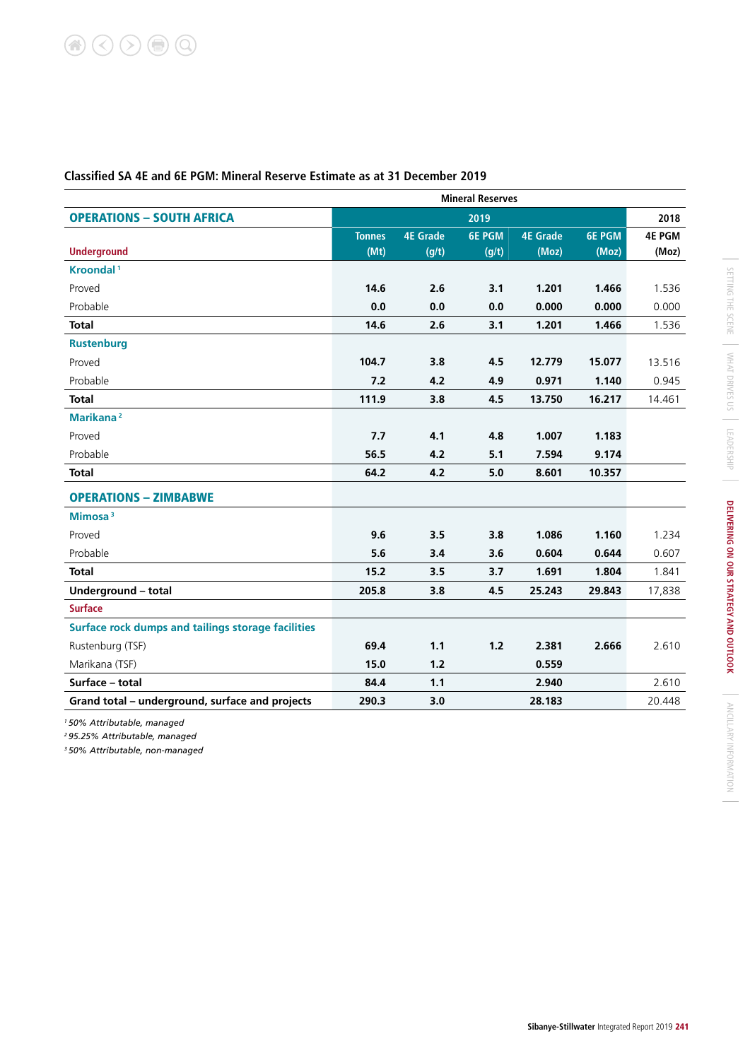|                                                    |               | <b>Mineral Reserves</b> |               |                 |               |               |  |  |  |
|----------------------------------------------------|---------------|-------------------------|---------------|-----------------|---------------|---------------|--|--|--|
| <b>OPERATIONS - SOUTH AFRICA</b>                   |               |                         | 2019          |                 |               | 2018          |  |  |  |
|                                                    | <b>Tonnes</b> | <b>4E Grade</b>         | <b>6E PGM</b> | <b>4E Grade</b> | <b>6E PGM</b> | <b>4E PGM</b> |  |  |  |
| <b>Underground</b>                                 | (Mt)          | (g/t)                   | (g/t)         | (Moz)           | (Moz)         | (Moz)         |  |  |  |
| Kroondal <sup>1</sup>                              |               |                         |               |                 |               |               |  |  |  |
| Proved                                             | 14.6          | 2.6                     | 3.1           | 1.201           | 1.466         | 1.536         |  |  |  |
| Probable                                           | 0.0           | 0.0                     | 0.0           | 0.000           | 0.000         | 0.000         |  |  |  |
| <b>Total</b>                                       | 14.6          | 2.6                     | 3.1           | 1.201           | 1.466         | 1.536         |  |  |  |
| <b>Rustenburg</b>                                  |               |                         |               |                 |               |               |  |  |  |
| Proved                                             | 104.7         | 3.8                     | 4.5           | 12.779          | 15.077        | 13.516        |  |  |  |
| Probable                                           | 7.2           | 4.2                     | 4.9           | 0.971           | 1.140         | 0.945         |  |  |  |
| <b>Total</b>                                       | 111.9         | 3.8                     | 4.5           | 13.750          | 16.217        | 14.461        |  |  |  |
| Marikana <sup>2</sup>                              |               |                         |               |                 |               |               |  |  |  |
| Proved                                             | 7.7           | 4.1                     | 4.8           | 1.007           | 1.183         |               |  |  |  |
| Probable                                           | 56.5          | 4.2                     | 5.1           | 7.594           | 9.174         |               |  |  |  |
| <b>Total</b>                                       | 64.2          | 4.2                     | 5.0           | 8.601           | 10.357        |               |  |  |  |
| <b>OPERATIONS - ZIMBABWE</b>                       |               |                         |               |                 |               |               |  |  |  |
| Mimosa $3$                                         |               |                         |               |                 |               |               |  |  |  |
| Proved                                             | 9.6           | 3.5                     | 3.8           | 1.086           | 1.160         | 1.234         |  |  |  |
| Probable                                           | 5.6           | 3.4                     | 3.6           | 0.604           | 0.644         | 0.607         |  |  |  |
| <b>Total</b>                                       | 15.2          | 3.5                     | 3.7           | 1.691           | 1.804         | 1.841         |  |  |  |
| Underground - total                                | 205.8         | 3.8                     | 4.5           | 25.243          | 29.843        | 17,838        |  |  |  |
| <b>Surface</b>                                     |               |                         |               |                 |               |               |  |  |  |
| Surface rock dumps and tailings storage facilities |               |                         |               |                 |               |               |  |  |  |
| Rustenburg (TSF)                                   | 69.4          | 1.1                     | $1.2$         | 2.381           | 2.666         | 2.610         |  |  |  |
| Marikana (TSF)                                     | 15.0          | 1.2                     |               | 0.559           |               |               |  |  |  |
| Surface - total                                    | 84.4          | 1.1                     |               | 2.940           |               | 2.610         |  |  |  |
| Grand total - underground, surface and projects    | 290.3         | 3.0                     |               | 28.183          |               | 20.448        |  |  |  |

# **Classified SA 4E and 6E PGM: Mineral Reserve Estimate as at 31 December 2019**

*1 50% Attributable, managed*

*2 95.25% Attributable, managed*

*3 50% Attributable, non-managed*

 $\mathcal{L}$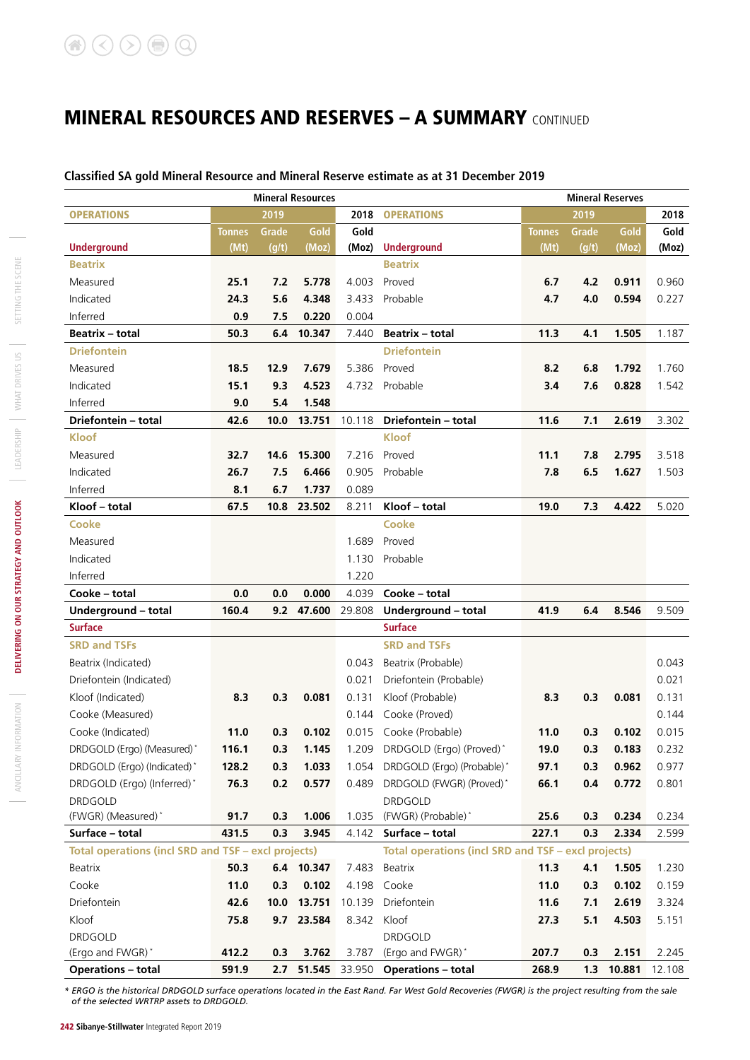### **Classified SA gold Mineral Resource and Mineral Reserve estimate as at 31 December 2019**

|                                                            |               |       | <b>Mineral Resources</b> |        |                                                     | <b>Mineral Reserves</b> |       |            |        |  |
|------------------------------------------------------------|---------------|-------|--------------------------|--------|-----------------------------------------------------|-------------------------|-------|------------|--------|--|
| <b>OPERATIONS</b>                                          |               | 2019  |                          | 2018   | <b>OPERATIONS</b>                                   |                         | 2019  |            | 2018   |  |
|                                                            | <b>Tonnes</b> | Grade | Gold                     | Gold   |                                                     | <b>Tonnes</b>           | Grade | Gold       | Gold   |  |
| <b>Underground</b>                                         | (Mt)          | (g/t) | (Moz)                    | (Moz)  | <b>Underground</b>                                  | (Mt)                    | (g/t) | (Moz)      | (Moz)  |  |
| <b>Beatrix</b>                                             |               |       |                          |        | <b>Beatrix</b>                                      |                         |       |            |        |  |
| Measured                                                   | 25.1          | 7.2   | 5.778                    | 4.003  | Proved                                              | 6.7                     | 4.2   | 0.911      | 0.960  |  |
| Indicated                                                  | 24.3          | 5.6   | 4.348                    | 3.433  | Probable                                            | 4.7                     | 4.0   | 0.594      | 0.227  |  |
| Inferred                                                   | 0.9           | 7.5   | 0.220                    | 0.004  |                                                     |                         |       |            |        |  |
| <b>Beatrix - total</b>                                     | 50.3          | 6.4   | 10.347                   | 7.440  | <b>Beatrix - total</b>                              | 11.3                    | 4.1   | 1.505      | 1.187  |  |
| <b>Driefontein</b>                                         |               |       |                          |        | <b>Driefontein</b>                                  |                         |       |            |        |  |
| Measured                                                   | 18.5          | 12.9  | 7.679                    | 5.386  | Proved                                              | 8.2                     | 6.8   | 1.792      | 1.760  |  |
| Indicated                                                  | 15.1          | 9.3   | 4.523                    | 4.732  | Probable                                            | 3.4                     | 7.6   | 0.828      | 1.542  |  |
| Inferred                                                   | 9.0           | 5.4   | 1.548                    |        |                                                     |                         |       |            |        |  |
| Driefontein - total                                        | 42.6          | 10.0  | 13.751                   | 10.118 | Driefontein - total                                 | 11.6                    | 7.1   | 2.619      | 3.302  |  |
| Kloof                                                      |               |       |                          |        | <b>Kloof</b>                                        |                         |       |            |        |  |
| Measured                                                   | 32.7          | 14.6  | 15.300                   | 7.216  | Proved                                              | 11.1                    | 7.8   | 2.795      | 3.518  |  |
| Indicated                                                  | 26.7          | 7.5   | 6.466                    | 0.905  | Probable                                            | 7.8                     | 6.5   | 1.627      | 1.503  |  |
| Inferred                                                   | 8.1           | 6.7   | 1.737                    | 0.089  |                                                     |                         |       |            |        |  |
| Kloof - total                                              | 67.5          | 10.8  | 23.502                   | 8.211  | Kloof - total                                       | 19.0                    | 7.3   | 4.422      | 5.020  |  |
| <b>Cooke</b>                                               |               |       |                          |        | <b>Cooke</b>                                        |                         |       |            |        |  |
| Measured                                                   |               |       |                          | 1.689  | Proved                                              |                         |       |            |        |  |
| Indicated                                                  |               |       |                          | 1.130  | Probable                                            |                         |       |            |        |  |
| Inferred                                                   |               |       |                          | 1.220  |                                                     |                         |       |            |        |  |
| Cooke - total                                              | 0.0           | 0.0   | 0.000                    | 4.039  | Cooke - total                                       |                         |       |            |        |  |
| Underground - total                                        | 160.4         | 9.2   | 47.600                   | 29.808 | Underground - total                                 | 41.9                    | 6.4   | 8.546      | 9.509  |  |
| <b>Surface</b>                                             |               |       |                          |        | <b>Surface</b>                                      |                         |       |            |        |  |
| <b>SRD and TSFs</b>                                        |               |       |                          |        | <b>SRD and TSFs</b>                                 |                         |       |            |        |  |
| Beatrix (Indicated)                                        |               |       |                          | 0.043  | Beatrix (Probable)                                  |                         |       |            | 0.043  |  |
| Driefontein (Indicated)                                    |               |       |                          | 0.021  | Driefontein (Probable)                              |                         |       |            | 0.021  |  |
| Kloof (Indicated)                                          | 8.3           | 0.3   | 0.081                    | 0.131  | Kloof (Probable)                                    | 8.3                     | 0.3   | 0.081      | 0.131  |  |
| Cooke (Measured)                                           |               |       |                          | 0.144  | Cooke (Proved)                                      |                         |       |            | 0.144  |  |
| Cooke (Indicated)                                          | 11.0          | 0.3   | 0.102                    |        | 0.015 Cooke (Probable)                              | 11.0                    | 0.3   | 0.102      | 0.015  |  |
| DRDGOLD (Ergo) (Measured)*                                 | 116.1         | 0.3   | 1.145                    |        | 1.209 DRDGOLD (Ergo) (Proved)*                      | 19.0                    | 0.3   | 0.183      | 0.232  |  |
| DRDGOLD (Ergo) (Indicated)*                                | 128.2         | 0.3   | 1.033                    |        | 1.054 DRDGOLD (Ergo) (Probable)*                    | 97.1                    | 0.3   | 0.962      | 0.977  |  |
| DRDGOLD (Ergo) (Inferred)*                                 | 76.3          | 0.2   | 0.577                    | 0.489  | DRDGOLD (FWGR) (Proved)*                            | 66.1                    | 0.4   | 0.772      | 0.801  |  |
| <b>DRDGOLD</b>                                             |               |       |                          |        | <b>DRDGOLD</b>                                      |                         |       |            |        |  |
| (FWGR) (Measured)*                                         | 91.7          | 0.3   | 1.006                    | 1.035  | (FWGR) (Probable)*                                  | 25.6                    | 0.3   | 0.234      | 0.234  |  |
| Surface - total                                            | 431.5         | 0.3   | 3.945                    | 4.142  | Surface - total                                     | 227.1                   | 0.3   | 2.334      | 2.599  |  |
| <b>Total operations (incl SRD and TSF - excl projects)</b> |               |       |                          |        | Total operations (incl SRD and TSF - excl projects) |                         |       |            |        |  |
| <b>Beatrix</b>                                             | 50.3          |       | 6.4 10.347               | 7.483  | Beatrix                                             | 11.3                    | 4.1   | 1.505      | 1.230  |  |
| Cooke                                                      | 11.0          | 0.3   | 0.102                    | 4.198  | Cooke                                               | 11.0                    | 0.3   | 0.102      | 0.159  |  |
| Driefontein                                                | 42.6          | 10.0  | 13.751                   | 10.139 | Driefontein                                         | 11.6                    | 7.1   | 2.619      | 3.324  |  |
| Kloof                                                      | 75.8          |       | 9.7 23.584               | 8.342  | Kloof                                               | 27.3                    | 5.1   | 4.503      | 5.151  |  |
| <b>DRDGOLD</b>                                             |               |       |                          |        | <b>DRDGOLD</b>                                      |                         |       |            |        |  |
| (Ergo and FWGR)*                                           | 412.2         | 0.3   | 3.762                    | 3.787  | (Ergo and FWGR)*                                    | 207.7                   | 0.3   | 2.151      | 2.245  |  |
| <b>Operations - total</b>                                  | 591.9         |       |                          |        | 2.7 51.545 33.950 Operations - total                | 268.9                   |       | 1.3 10.881 | 12.108 |  |

*\* ERGO is the historical DRDGOLD surface operations located in the East Rand. Far West Gold Recoveries (FWGR) is the project resulting from the sale of the selected WRTRP assets to DRDGOLD.*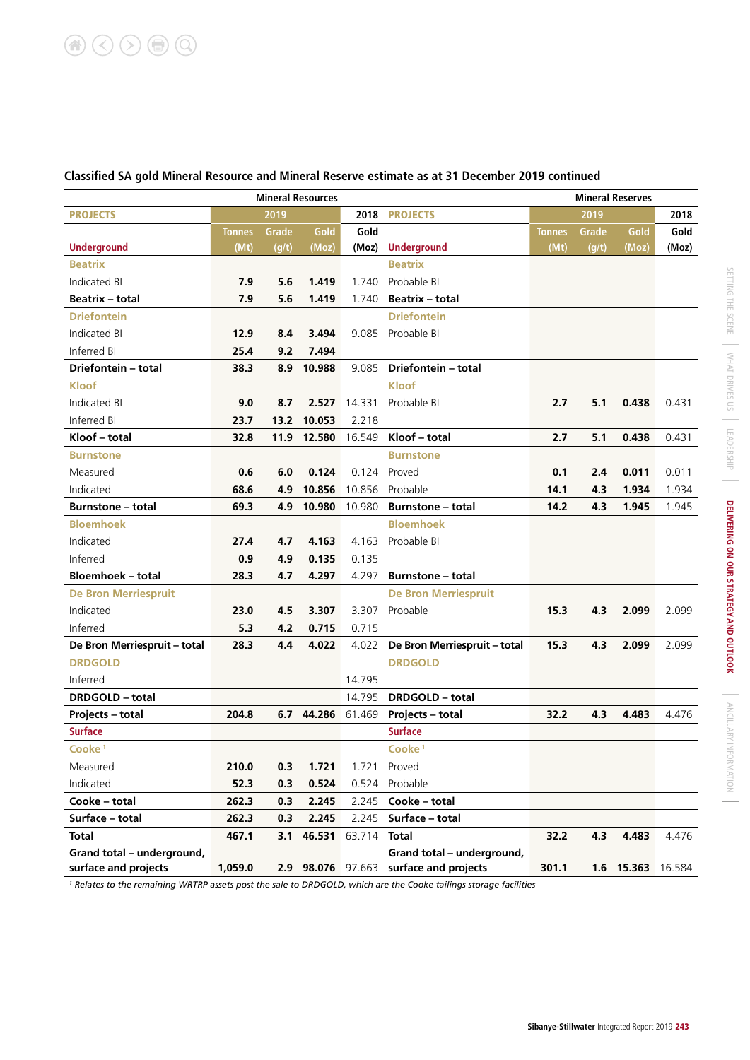|                              | <b>Mineral Resources</b> |              |                   |        |                              | <b>Mineral Reserves</b> |       |                   |       |
|------------------------------|--------------------------|--------------|-------------------|--------|------------------------------|-------------------------|-------|-------------------|-------|
| <b>PROJECTS</b>              |                          | 2019         |                   | 2018   | <b>PROJECTS</b>              |                         | 2019  |                   | 2018  |
|                              | Tonnes                   | <b>Grade</b> | Gold              | Gold   |                              | Tonnes                  | Grade | Gold              | Gold  |
| <b>Underground</b>           | (Mt)                     | (g/t)        | (Moz)             | (Moz)  | <b>Underground</b>           | (Mt)                    | (g/t) | (Moz)             | (Moz) |
| <b>Beatrix</b>               |                          |              |                   |        | <b>Beatrix</b>               |                         |       |                   |       |
| Indicated BI                 | 7.9                      | 5.6          | 1.419             | 1.740  | Probable BI                  |                         |       |                   |       |
| <b>Beatrix - total</b>       | 7.9                      | 5.6          | 1.419             | 1.740  | <b>Beatrix - total</b>       |                         |       |                   |       |
| <b>Driefontein</b>           |                          |              |                   |        | <b>Driefontein</b>           |                         |       |                   |       |
| <b>Indicated BI</b>          | 12.9                     | 8.4          | 3.494             | 9.085  | Probable BI                  |                         |       |                   |       |
| Inferred BI                  | 25.4                     | 9.2          | 7.494             |        |                              |                         |       |                   |       |
| Driefontein - total          | 38.3                     | 8.9          | 10.988            | 9.085  | Driefontein - total          |                         |       |                   |       |
| <b>Kloof</b>                 |                          |              |                   |        | <b>Kloof</b>                 |                         |       |                   |       |
| Indicated BI                 | 9.0                      | 8.7          | 2.527             | 14.331 | Probable BI                  | 2.7                     | 5.1   | 0.438             | 0.431 |
| Inferred BI                  | 23.7                     | 13.2         | 10.053            | 2.218  |                              |                         |       |                   |       |
| Kloof - total                | 32.8                     | 11.9         | 12.580            | 16.549 | Kloof – total                | 2.7                     | 5.1   | 0.438             | 0.431 |
| <b>Burnstone</b>             |                          |              |                   |        | <b>Burnstone</b>             |                         |       |                   |       |
| Measured                     | 0.6                      | 6.0          | 0.124             | 0.124  | Proved                       | 0.1                     | 2.4   | 0.011             | 0.011 |
| Indicated                    | 68.6                     | 4.9          | 10.856            | 10.856 | Probable                     | 14.1                    | 4.3   | 1.934             | 1.934 |
| <b>Burnstone - total</b>     | 69.3                     | 4.9          | 10.980            | 10.980 | <b>Burnstone - total</b>     | 14.2                    | 4.3   | 1.945             | 1.945 |
| <b>Bloemhoek</b>             |                          |              |                   |        | <b>Bloemhoek</b>             |                         |       |                   |       |
| Indicated                    | 27.4                     | 4.7          | 4.163             | 4.163  | Probable BI                  |                         |       |                   |       |
| Inferred                     | 0.9                      | 4.9          | 0.135             | 0.135  |                              |                         |       |                   |       |
| <b>Bloemhoek - total</b>     | 28.3                     | 4.7          | 4.297             | 4.297  | <b>Burnstone – total</b>     |                         |       |                   |       |
| <b>De Bron Merriespruit</b>  |                          |              |                   |        | <b>De Bron Merriespruit</b>  |                         |       |                   |       |
| Indicated                    | 23.0                     | 4.5          | 3.307             | 3.307  | Probable                     | 15.3                    | 4.3   | 2.099             | 2.099 |
| Inferred                     | 5.3                      | 4.2          | 0.715             | 0.715  |                              |                         |       |                   |       |
| De Bron Merriespruit - total | 28.3                     | 4.4          | 4.022             | 4.022  | De Bron Merriespruit - total | 15.3                    | 4.3   | 2.099             | 2.099 |
| <b>DRDGOLD</b>               |                          |              |                   |        | <b>DRDGOLD</b>               |                         |       |                   |       |
| Inferred                     |                          |              |                   | 14.795 |                              |                         |       |                   |       |
| <b>DRDGOLD - total</b>       |                          |              |                   | 14.795 | <b>DRDGOLD - total</b>       |                         |       |                   |       |
| <b>Projects - total</b>      | 204.8                    | 6.7          | 44.286            | 61.469 | <b>Projects - total</b>      | 32.2                    | 4.3   | 4.483             | 4.476 |
| <b>Surface</b>               |                          |              |                   |        | <b>Surface</b>               |                         |       |                   |       |
| Cooke <sup>1</sup>           |                          |              |                   |        | Cooke <sup>1</sup>           |                         |       |                   |       |
| Measured                     | 210.0                    | 0.3          | 1.721             | 1.721  | Proved                       |                         |       |                   |       |
| Indicated                    | 52.3                     | 0.3          | 0.524             | 0.524  | Probable                     |                         |       |                   |       |
| Cooke - total                | 262.3                    | 0.3          | 2.245             | 2.245  | Cooke - total                |                         |       |                   |       |
| Surface - total              | 262.3                    | 0.3          | 2.245             | 2.245  | Surface - total              |                         |       |                   |       |
| <b>Total</b>                 | 467.1                    | 3.1          | 46.531            | 63.714 | <b>Total</b>                 | 32.2                    | 4.3   | 4.483             | 4.476 |
| Grand total - underground,   |                          |              |                   |        | Grand total - underground,   |                         |       |                   |       |
| surface and projects         | 1,059.0                  |              | 2.9 98.076 97.663 |        | surface and projects         | 301.1                   |       | 1.6 15.363 16.584 |       |
|                              |                          |              |                   |        |                              |                         |       |                   |       |

# **Classified SA gold Mineral Resource and Mineral Reserve estimate as at 31 December 2019 continued**

*1 Relates to the remaining WRTRP assets post the sale to DRDGOLD, which are the Cooke tailings storage facilities*